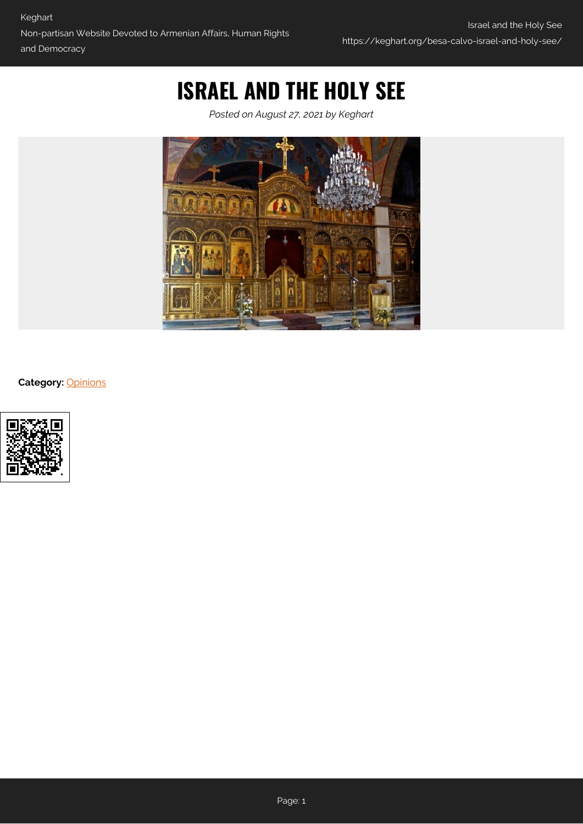# **ISRAEL AND THE HOLY SEE**

*Posted on August 27, 2021 by Keghart*



**Category:** [Opinions](https://keghart.org/category/opinions/)

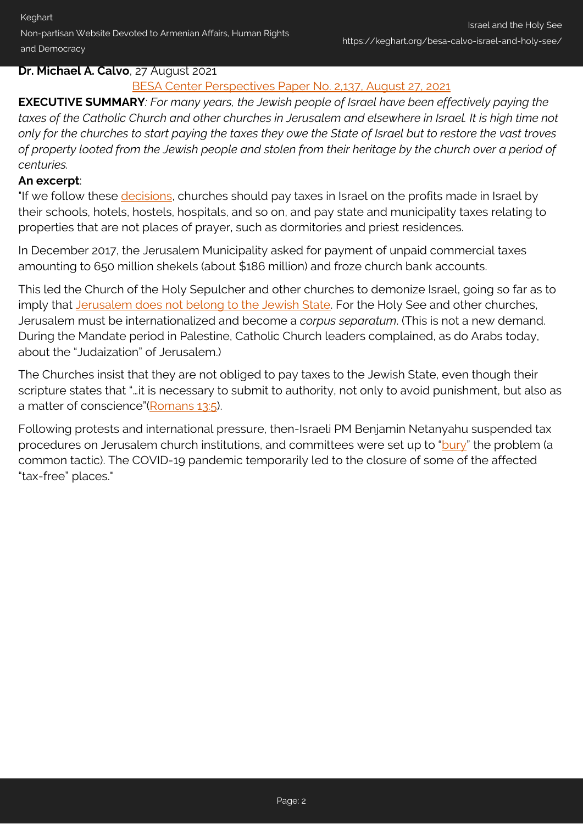Keghart Non-partisan Website Devoted to Armenian Affairs, Human Rights and Democracy

### **Dr. Michael A. Calvo**, 27 August 2021

## [BESA Center Perspectives Paper No. 2,137, August 27, 2021](https://besacenter.org/israel-and-the-holy-see/)

**EXECUTIVE SUMMARY***: For many years, the Jewish people of Israel have been effectively paying the taxes of the Catholic Church and other churches in Jerusalem and elsewhere in Israel. It is high time not only for the churches to start paying the taxes they owe the State of Israel but to restore the vast troves of property looted from the Jewish people and stolen from their heritage by the church over a period of centuries.*

#### **An excerpt**:

"If we follow these *decisions*, churches should pay taxes in Israel on the profits made in Israel by their schools, hotels, hostels, hospitals, and so on, and pay state and municipality taxes relating to properties that are not places of prayer, such as dormitories and priest residences.

In December 2017, the Jerusalem Municipality asked for payment of unpaid commercial taxes amounting to 650 million shekels (about \$186 million) and froze church bank accounts.

This led the Church of the Holy Sepulcher and other churches to demonize Israel, going so far as to imply that [Jerusalem does not belong to the Jewish State.](https://www.cufi.org.uk/news/how-church-of-the-holy-sepulchre-tax-protest-was-used-to-demonise-israel) For the Holy See and other churches, Jerusalem must be internationalized and become a *corpus separatum*. (This is not a new demand. During the Mandate period in Palestine, Catholic Church leaders complained, as do Arabs today, about the "Judaization" of Jerusalem.)

The Churches insist that they are not obliged to pay taxes to the Jewish State, even though their scripture states that "…it is necessary to submit to authority, not only to avoid punishment, but also as a matter of conscience"([Romans 13:5\)](https://biblehub.com/romans/13-5.htm).

Following protests and international pressure, then-Israeli PM Benjamin Netanyahu suspended tax procedures on Jerusalem church institutions, and committees were set up to ["bury"](https://www.aljazeera.com/news/2018/02/israel-suspends-taxation-legislation-jerusalem-churches-180227164222822.html) the problem (a common tactic). The COVID-19 pandemic temporarily led to the closure of some of the affected "tax-free" places."